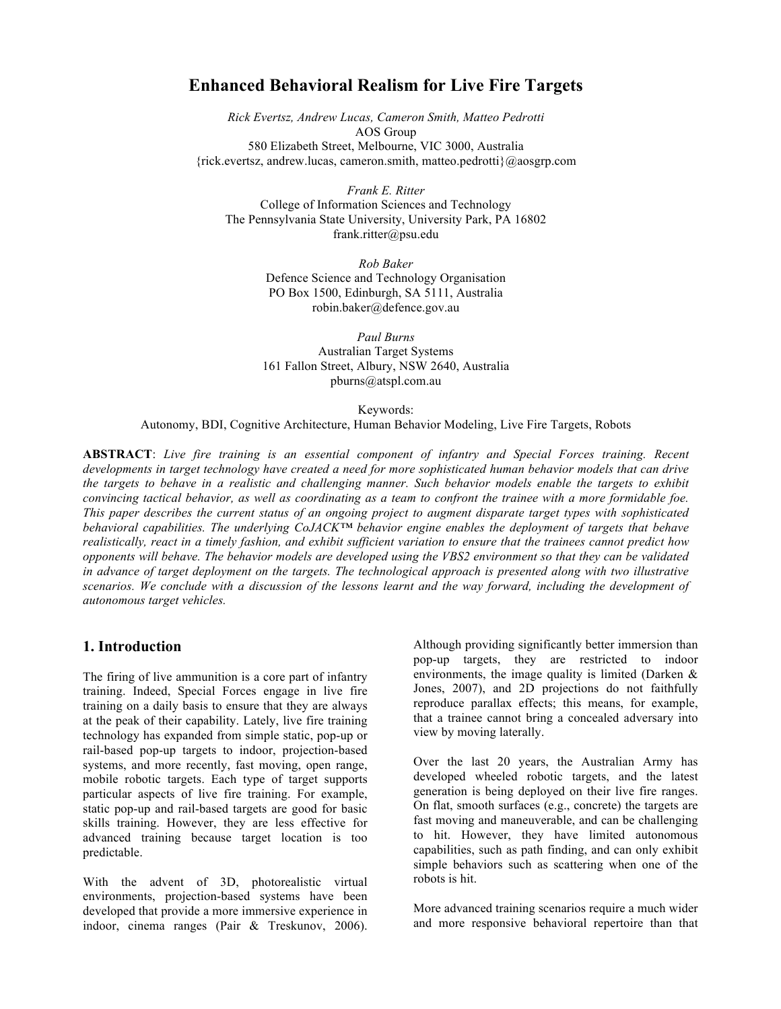# **Enhanced Behavioral Realism for Live Fire Targets**

*Rick Evertsz, Andrew Lucas, Cameron Smith, Matteo Pedrotti* AOS Group 580 Elizabeth Street, Melbourne, VIC 3000, Australia {rick.evertsz, andrew.lucas, cameron.smith, matteo.pedrotti}@aosgrp.com

*Frank E. Ritter* College of Information Sciences and Technology The Pennsylvania State University, University Park, PA 16802 frank.ritter@psu.edu

> *Rob Baker* Defence Science and Technology Organisation PO Box 1500, Edinburgh, SA 5111, Australia robin.baker@defence.gov.au

> *Paul Burns* Australian Target Systems 161 Fallon Street, Albury, NSW 2640, Australia pburns@atspl.com.au

> > Keywords:

Autonomy, BDI, Cognitive Architecture, Human Behavior Modeling, Live Fire Targets, Robots

**ABSTRACT**: *Live fire training is an essential component of infantry and Special Forces training. Recent developments in target technology have created a need for more sophisticated human behavior models that can drive the targets to behave in a realistic and challenging manner. Such behavior models enable the targets to exhibit convincing tactical behavior, as well as coordinating as a team to confront the trainee with a more formidable foe. This paper describes the current status of an ongoing project to augment disparate target types with sophisticated behavioral capabilities. The underlying CoJACK™ behavior engine enables the deployment of targets that behave realistically, react in a timely fashion, and exhibit sufficient variation to ensure that the trainees cannot predict how opponents will behave. The behavior models are developed using the VBS2 environment so that they can be validated in advance of target deployment on the targets. The technological approach is presented along with two illustrative scenarios. We conclude with a discussion of the lessons learnt and the way forward, including the development of autonomous target vehicles.*

## **1. Introduction**

The firing of live ammunition is a core part of infantry training. Indeed, Special Forces engage in live fire training on a daily basis to ensure that they are always at the peak of their capability. Lately, live fire training technology has expanded from simple static, pop-up or rail-based pop-up targets to indoor, projection-based systems, and more recently, fast moving, open range, mobile robotic targets. Each type of target supports particular aspects of live fire training. For example, static pop-up and rail-based targets are good for basic skills training. However, they are less effective for advanced training because target location is too predictable.

With the advent of 3D, photorealistic virtual environments, projection-based systems have been developed that provide a more immersive experience in indoor, cinema ranges (Pair & Treskunov, 2006).

Although providing significantly better immersion than pop-up targets, they are restricted to indoor environments, the image quality is limited (Darken & Jones, 2007), and 2D projections do not faithfully reproduce parallax effects; this means, for example, that a trainee cannot bring a concealed adversary into view by moving laterally.

Over the last 20 years, the Australian Army has developed wheeled robotic targets, and the latest generation is being deployed on their live fire ranges. On flat, smooth surfaces (e.g., concrete) the targets are fast moving and maneuverable, and can be challenging to hit. However, they have limited autonomous capabilities, such as path finding, and can only exhibit simple behaviors such as scattering when one of the robots is hit.

More advanced training scenarios require a much wider and more responsive behavioral repertoire than that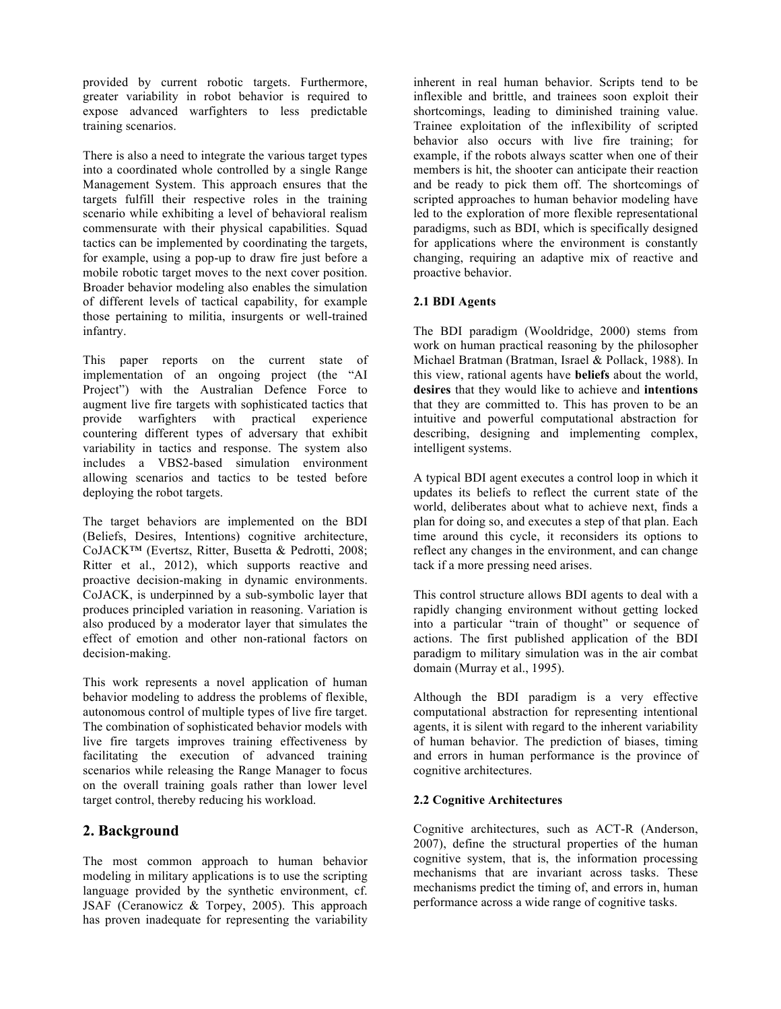provided by current robotic targets. Furthermore, greater variability in robot behavior is required to expose advanced warfighters to less predictable training scenarios.

There is also a need to integrate the various target types into a coordinated whole controlled by a single Range Management System. This approach ensures that the targets fulfill their respective roles in the training scenario while exhibiting a level of behavioral realism commensurate with their physical capabilities. Squad tactics can be implemented by coordinating the targets, for example, using a pop-up to draw fire just before a mobile robotic target moves to the next cover position. Broader behavior modeling also enables the simulation of different levels of tactical capability, for example those pertaining to militia, insurgents or well-trained infantry.

This paper reports on the current state of implementation of an ongoing project (the "AI Project") with the Australian Defence Force to augment live fire targets with sophisticated tactics that provide warfighters with practical experience countering different types of adversary that exhibit variability in tactics and response. The system also includes a VBS2-based simulation environment allowing scenarios and tactics to be tested before deploying the robot targets.

The target behaviors are implemented on the BDI (Beliefs, Desires, Intentions) cognitive architecture, CoJACK™ (Evertsz, Ritter, Busetta & Pedrotti, 2008; Ritter et al., 2012), which supports reactive and proactive decision-making in dynamic environments. CoJACK, is underpinned by a sub-symbolic layer that produces principled variation in reasoning. Variation is also produced by a moderator layer that simulates the effect of emotion and other non-rational factors on decision-making.

This work represents a novel application of human behavior modeling to address the problems of flexible, autonomous control of multiple types of live fire target. The combination of sophisticated behavior models with live fire targets improves training effectiveness by facilitating the execution of advanced training scenarios while releasing the Range Manager to focus on the overall training goals rather than lower level target control, thereby reducing his workload.

# **2. Background**

The most common approach to human behavior modeling in military applications is to use the scripting language provided by the synthetic environment, cf. JSAF (Ceranowicz & Torpey, 2005). This approach has proven inadequate for representing the variability inherent in real human behavior. Scripts tend to be inflexible and brittle, and trainees soon exploit their shortcomings, leading to diminished training value. Trainee exploitation of the inflexibility of scripted behavior also occurs with live fire training; for example, if the robots always scatter when one of their members is hit, the shooter can anticipate their reaction and be ready to pick them off. The shortcomings of scripted approaches to human behavior modeling have led to the exploration of more flexible representational paradigms, such as BDI, which is specifically designed for applications where the environment is constantly changing, requiring an adaptive mix of reactive and proactive behavior.

#### **2.1 BDI Agents**

The BDI paradigm (Wooldridge, 2000) stems from work on human practical reasoning by the philosopher Michael Bratman (Bratman, Israel & Pollack, 1988). In this view, rational agents have **beliefs** about the world, **desires** that they would like to achieve and **intentions** that they are committed to. This has proven to be an intuitive and powerful computational abstraction for describing, designing and implementing complex, intelligent systems.

A typical BDI agent executes a control loop in which it updates its beliefs to reflect the current state of the world, deliberates about what to achieve next, finds a plan for doing so, and executes a step of that plan. Each time around this cycle, it reconsiders its options to reflect any changes in the environment, and can change tack if a more pressing need arises.

This control structure allows BDI agents to deal with a rapidly changing environment without getting locked into a particular "train of thought" or sequence of actions. The first published application of the BDI paradigm to military simulation was in the air combat domain (Murray et al., 1995).

Although the BDI paradigm is a very effective computational abstraction for representing intentional agents, it is silent with regard to the inherent variability of human behavior. The prediction of biases, timing and errors in human performance is the province of cognitive architectures.

#### **2.2 Cognitive Architectures**

Cognitive architectures, such as ACT-R (Anderson, 2007), define the structural properties of the human cognitive system, that is, the information processing mechanisms that are invariant across tasks. These mechanisms predict the timing of, and errors in, human performance across a wide range of cognitive tasks.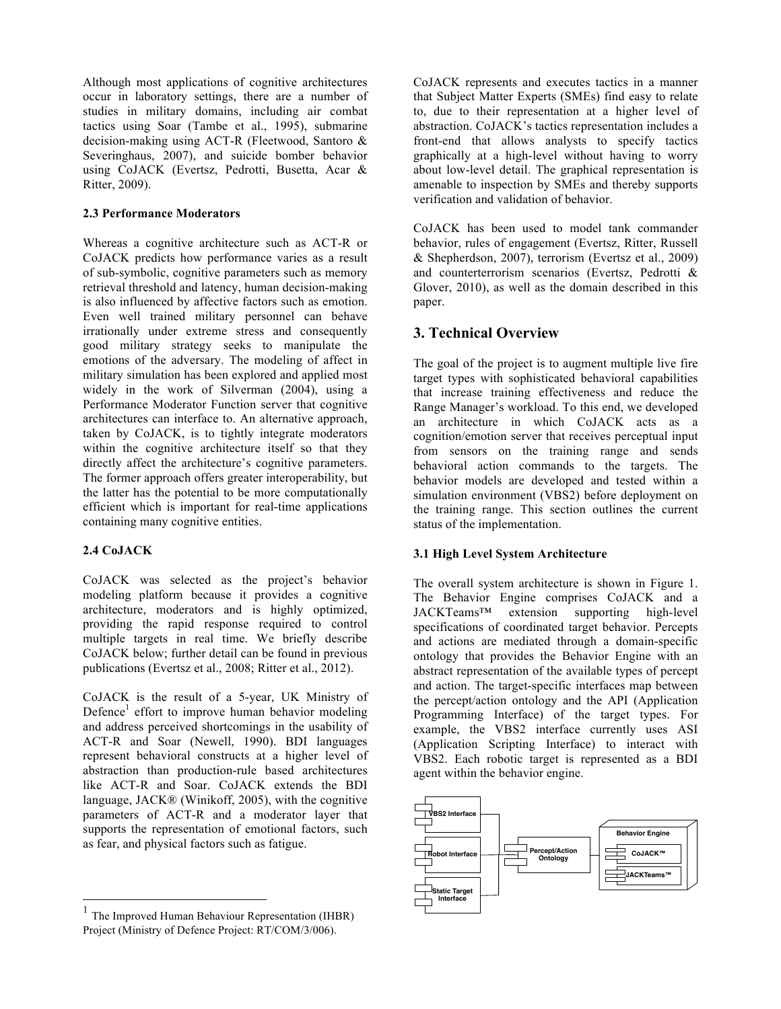Although most applications of cognitive architectures occur in laboratory settings, there are a number of studies in military domains, including air combat tactics using Soar (Tambe et al., 1995), submarine decision-making using ACT-R (Fleetwood, Santoro & Severinghaus, 2007), and suicide bomber behavior using CoJACK (Evertsz, Pedrotti, Busetta, Acar & Ritter, 2009).

### **2.3 Performance Moderators**

Whereas a cognitive architecture such as ACT-R or CoJACK predicts how performance varies as a result of sub-symbolic, cognitive parameters such as memory retrieval threshold and latency, human decision-making is also influenced by affective factors such as emotion. Even well trained military personnel can behave irrationally under extreme stress and consequently good military strategy seeks to manipulate the emotions of the adversary. The modeling of affect in military simulation has been explored and applied most widely in the work of Silverman (2004), using a Performance Moderator Function server that cognitive architectures can interface to. An alternative approach, taken by CoJACK, is to tightly integrate moderators within the cognitive architecture itself so that they directly affect the architecture's cognitive parameters. The former approach offers greater interoperability, but the latter has the potential to be more computationally efficient which is important for real-time applications containing many cognitive entities.

#### **2.4 CoJACK**

CoJACK was selected as the project's behavior modeling platform because it provides a cognitive architecture, moderators and is highly optimized, providing the rapid response required to control multiple targets in real time. We briefly describe CoJACK below; further detail can be found in previous publications (Evertsz et al., 2008; Ritter et al., 2012).

CoJACK is the result of a 5-year, UK Ministry of Defence<sup>1</sup> effort to improve human behavior modeling and address perceived shortcomings in the usability of ACT-R and Soar (Newell, 1990). BDI languages represent behavioral constructs at a higher level of abstraction than production-rule based architectures like ACT-R and Soar. CoJACK extends the BDI language, JACK® (Winikoff, 2005), with the cognitive parameters of ACT-R and a moderator layer that supports the representation of emotional factors, such as fear, and physical factors such as fatigue.

CoJACK represents and executes tactics in a manner that Subject Matter Experts (SMEs) find easy to relate to, due to their representation at a higher level of abstraction. CoJACK's tactics representation includes a front-end that allows analysts to specify tactics graphically at a high-level without having to worry about low-level detail. The graphical representation is amenable to inspection by SMEs and thereby supports verification and validation of behavior.

CoJACK has been used to model tank commander behavior, rules of engagement (Evertsz, Ritter, Russell & Shepherdson, 2007), terrorism (Evertsz et al., 2009) and counterterrorism scenarios (Evertsz, Pedrotti & Glover, 2010), as well as the domain described in this paper.

# **3. Technical Overview**

The goal of the project is to augment multiple live fire target types with sophisticated behavioral capabilities that increase training effectiveness and reduce the Range Manager's workload. To this end, we developed an architecture in which CoJACK acts as a cognition/emotion server that receives perceptual input from sensors on the training range and sends behavioral action commands to the targets. The behavior models are developed and tested within a simulation environment (VBS2) before deployment on the training range. This section outlines the current status of the implementation.

## **3.1 High Level System Architecture**

The overall system architecture is shown in Figure 1. The Behavior Engine comprises CoJACK and a JACKTeams™ extension supporting high-level specifications of coordinated target behavior. Percepts and actions are mediated through a domain-specific ontology that provides the Behavior Engine with an abstract representation of the available types of percept and action. The target-specific interfaces map between the percept/action ontology and the API (Application Programming Interface) of the target types. For example, the VBS2 interface currently uses ASI (Application Scripting Interface) to interact with VBS2. Each robotic target is represented as a BDI agent within the behavior engine.



 <sup>1</sup> The Improved Human Behaviour Representation (IHBR) Project (Ministry of Defence Project: RT/COM/3/006).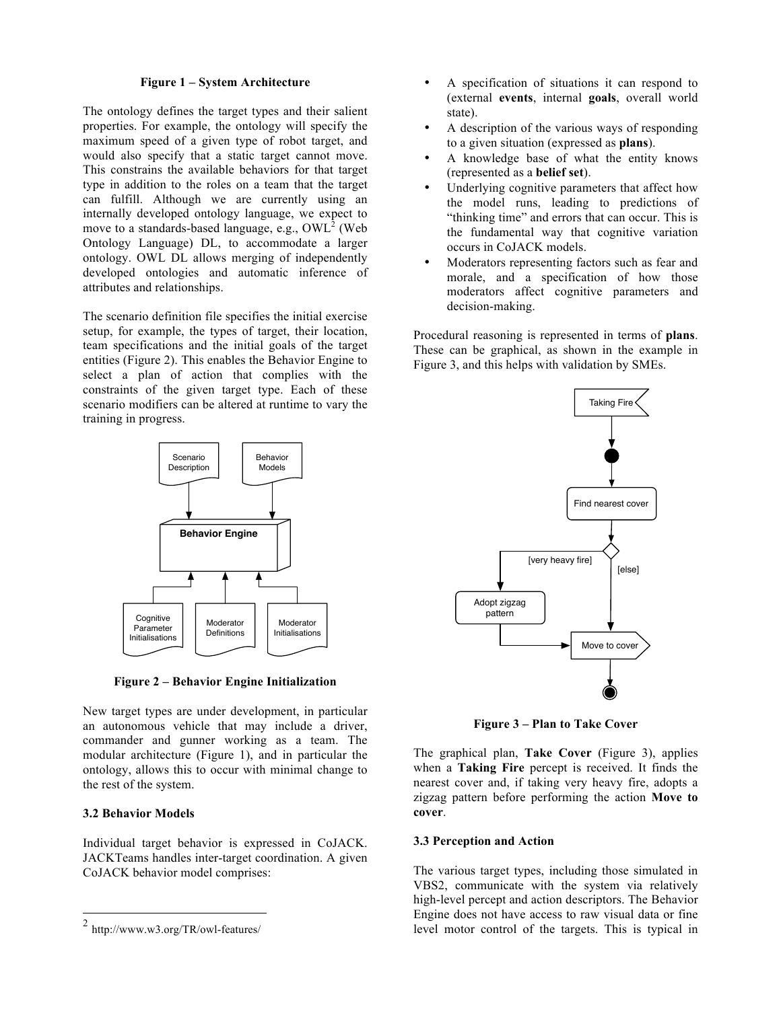#### **Figure 1 – System Architecture**

The ontology defines the target types and their salient properties. For example, the ontology will specify the maximum speed of a given type of robot target, and would also specify that a static target cannot move. This constrains the available behaviors for that target type in addition to the roles on a team that the target can fulfill. Although we are currently using an internally developed ontology language, we expect to move to a standards-based language, e.g.,  $\text{OWL}^2$  (Web Ontology Language) DL, to accommodate a larger ontology. OWL DL allows merging of independently developed ontologies and automatic inference of attributes and relationships.

The scenario definition file specifies the initial exercise setup, for example, the types of target, their location, team specifications and the initial goals of the target entities (Figure 2). This enables the Behavior Engine to select a plan of action that complies with the constraints of the given target type. Each of these scenario modifiers can be altered at runtime to vary the training in progress.



**Figure 2 – Behavior Engine Initialization**

New target types are under development, in particular an autonomous vehicle that may include a driver, commander and gunner working as a team. The modular architecture (Figure 1), and in particular the ontology, allows this to occur with minimal change to the rest of the system.

#### **3.2 Behavior Models**

Individual target behavior is expressed in CoJACK. JACKTeams handles inter-target coordination. A given CoJACK behavior model comprises:

- A specification of situations it can respond to (external **events**, internal **goals**, overall world state).
- A description of the various ways of responding to a given situation (expressed as **plans**).
- A knowledge base of what the entity knows (represented as a **belief set**).
- Underlying cognitive parameters that affect how the model runs, leading to predictions of "thinking time" and errors that can occur. This is the fundamental way that cognitive variation occurs in CoJACK models.
- Moderators representing factors such as fear and morale, and a specification of how those moderators affect cognitive parameters and decision-making.

Procedural reasoning is represented in terms of **plans**. These can be graphical, as shown in the example in Figure 3, and this helps with validation by SMEs.



**Figure 3 – Plan to Take Cover**

The graphical plan, **Take Cover** (Figure 3), applies when a **Taking Fire** percept is received. It finds the nearest cover and, if taking very heavy fire, adopts a zigzag pattern before performing the action **Move to cover**.

#### **3.3 Perception and Action**

The various target types, including those simulated in VBS2, communicate with the system via relatively high-level percept and action descriptors. The Behavior Engine does not have access to raw visual data or fine level motor control of the targets. This is typical in

 <sup>2</sup> http://www.w3.org/TR/owl-features/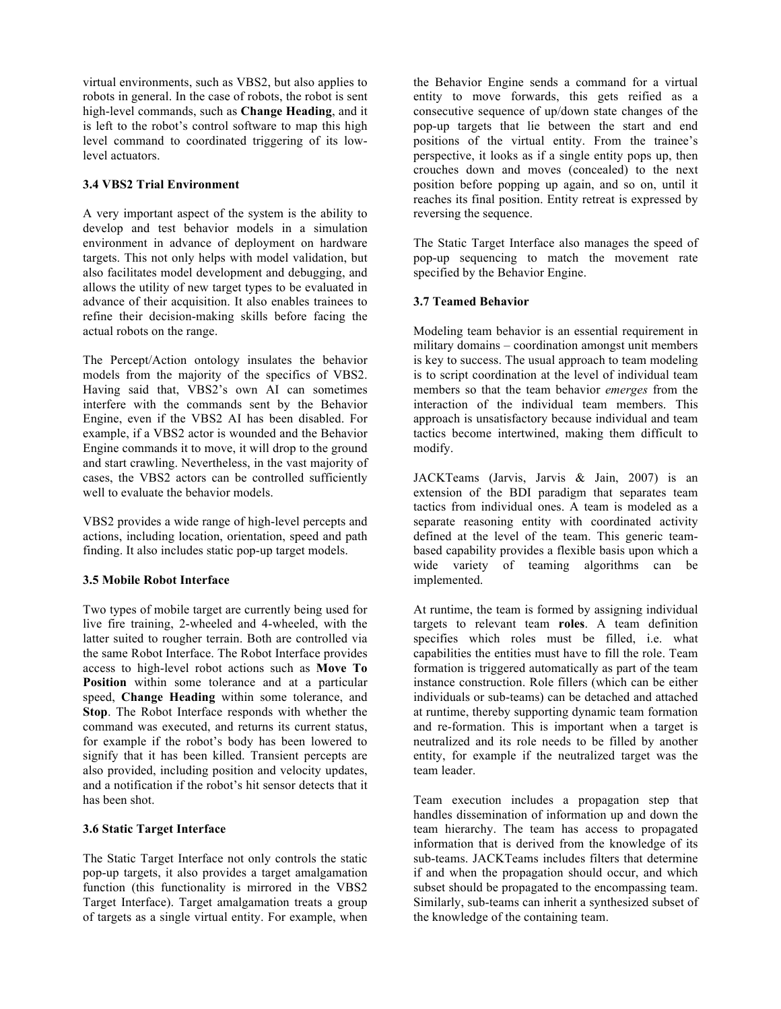virtual environments, such as VBS2, but also applies to robots in general. In the case of robots, the robot is sent high-level commands, such as **Change Heading**, and it is left to the robot's control software to map this high level command to coordinated triggering of its lowlevel actuators.

## **3.4 VBS2 Trial Environment**

A very important aspect of the system is the ability to develop and test behavior models in a simulation environment in advance of deployment on hardware targets. This not only helps with model validation, but also facilitates model development and debugging, and allows the utility of new target types to be evaluated in advance of their acquisition. It also enables trainees to refine their decision-making skills before facing the actual robots on the range.

The Percept/Action ontology insulates the behavior models from the majority of the specifics of VBS2. Having said that, VBS2's own AI can sometimes interfere with the commands sent by the Behavior Engine, even if the VBS2 AI has been disabled. For example, if a VBS2 actor is wounded and the Behavior Engine commands it to move, it will drop to the ground and start crawling. Nevertheless, in the vast majority of cases, the VBS2 actors can be controlled sufficiently well to evaluate the behavior models.

VBS2 provides a wide range of high-level percepts and actions, including location, orientation, speed and path finding. It also includes static pop-up target models.

## **3.5 Mobile Robot Interface**

Two types of mobile target are currently being used for live fire training, 2-wheeled and 4-wheeled, with the latter suited to rougher terrain. Both are controlled via the same Robot Interface. The Robot Interface provides access to high-level robot actions such as **Move To Position** within some tolerance and at a particular speed, **Change Heading** within some tolerance, and **Stop**. The Robot Interface responds with whether the command was executed, and returns its current status, for example if the robot's body has been lowered to signify that it has been killed. Transient percepts are also provided, including position and velocity updates, and a notification if the robot's hit sensor detects that it has been shot.

#### **3.6 Static Target Interface**

The Static Target Interface not only controls the static pop-up targets, it also provides a target amalgamation function (this functionality is mirrored in the VBS2 Target Interface). Target amalgamation treats a group of targets as a single virtual entity. For example, when

the Behavior Engine sends a command for a virtual entity to move forwards, this gets reified as a consecutive sequence of up/down state changes of the pop-up targets that lie between the start and end positions of the virtual entity. From the trainee's perspective, it looks as if a single entity pops up, then crouches down and moves (concealed) to the next position before popping up again, and so on, until it reaches its final position. Entity retreat is expressed by reversing the sequence.

The Static Target Interface also manages the speed of pop-up sequencing to match the movement rate specified by the Behavior Engine.

#### **3.7 Teamed Behavior**

Modeling team behavior is an essential requirement in military domains – coordination amongst unit members is key to success. The usual approach to team modeling is to script coordination at the level of individual team members so that the team behavior *emerges* from the interaction of the individual team members. This approach is unsatisfactory because individual and team tactics become intertwined, making them difficult to modify.

JACKTeams (Jarvis, Jarvis & Jain, 2007) is an extension of the BDI paradigm that separates team tactics from individual ones. A team is modeled as a separate reasoning entity with coordinated activity defined at the level of the team. This generic teambased capability provides a flexible basis upon which a wide variety of teaming algorithms can be implemented.

At runtime, the team is formed by assigning individual targets to relevant team **roles**. A team definition specifies which roles must be filled, i.e. what capabilities the entities must have to fill the role. Team formation is triggered automatically as part of the team instance construction. Role fillers (which can be either individuals or sub-teams) can be detached and attached at runtime, thereby supporting dynamic team formation and re-formation. This is important when a target is neutralized and its role needs to be filled by another entity, for example if the neutralized target was the team leader.

Team execution includes a propagation step that handles dissemination of information up and down the team hierarchy. The team has access to propagated information that is derived from the knowledge of its sub-teams. JACKTeams includes filters that determine if and when the propagation should occur, and which subset should be propagated to the encompassing team. Similarly, sub-teams can inherit a synthesized subset of the knowledge of the containing team.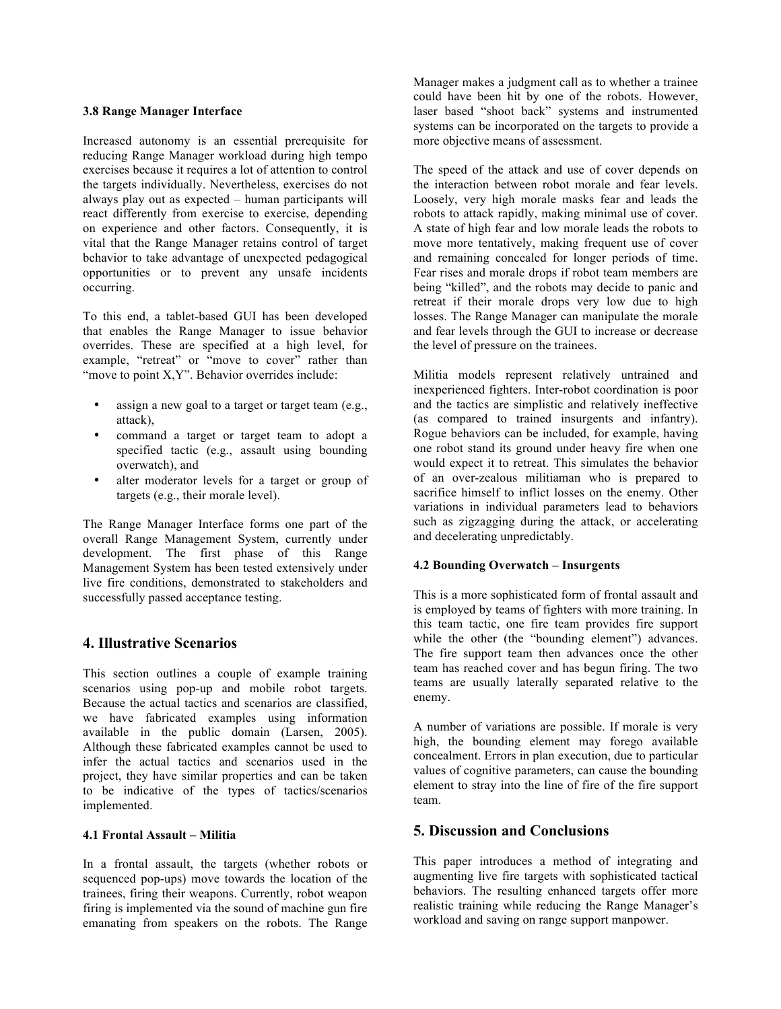#### **3.8 Range Manager Interface**

Increased autonomy is an essential prerequisite for reducing Range Manager workload during high tempo exercises because it requires a lot of attention to control the targets individually. Nevertheless, exercises do not always play out as expected – human participants will react differently from exercise to exercise, depending on experience and other factors. Consequently, it is vital that the Range Manager retains control of target behavior to take advantage of unexpected pedagogical opportunities or to prevent any unsafe incidents occurring.

To this end, a tablet-based GUI has been developed that enables the Range Manager to issue behavior overrides. These are specified at a high level, for example, "retreat" or "move to cover" rather than "move to point X,Y". Behavior overrides include:

- assign a new goal to a target or target team (e.g., attack),
- command a target or target team to adopt a specified tactic (e.g., assault using bounding overwatch), and
- alter moderator levels for a target or group of targets (e.g., their morale level).

The Range Manager Interface forms one part of the overall Range Management System, currently under development. The first phase of this Range Management System has been tested extensively under live fire conditions, demonstrated to stakeholders and successfully passed acceptance testing.

## **4. Illustrative Scenarios**

This section outlines a couple of example training scenarios using pop-up and mobile robot targets. Because the actual tactics and scenarios are classified, we have fabricated examples using information available in the public domain (Larsen, 2005). Although these fabricated examples cannot be used to infer the actual tactics and scenarios used in the project, they have similar properties and can be taken to be indicative of the types of tactics/scenarios implemented.

#### **4.1 Frontal Assault – Militia**

In a frontal assault, the targets (whether robots or sequenced pop-ups) move towards the location of the trainees, firing their weapons. Currently, robot weapon firing is implemented via the sound of machine gun fire emanating from speakers on the robots. The Range Manager makes a judgment call as to whether a trainee could have been hit by one of the robots. However, laser based "shoot back" systems and instrumented systems can be incorporated on the targets to provide a more objective means of assessment.

The speed of the attack and use of cover depends on the interaction between robot morale and fear levels. Loosely, very high morale masks fear and leads the robots to attack rapidly, making minimal use of cover. A state of high fear and low morale leads the robots to move more tentatively, making frequent use of cover and remaining concealed for longer periods of time. Fear rises and morale drops if robot team members are being "killed", and the robots may decide to panic and retreat if their morale drops very low due to high losses. The Range Manager can manipulate the morale and fear levels through the GUI to increase or decrease the level of pressure on the trainees.

Militia models represent relatively untrained and inexperienced fighters. Inter-robot coordination is poor and the tactics are simplistic and relatively ineffective (as compared to trained insurgents and infantry). Rogue behaviors can be included, for example, having one robot stand its ground under heavy fire when one would expect it to retreat. This simulates the behavior of an over-zealous militiaman who is prepared to sacrifice himself to inflict losses on the enemy. Other variations in individual parameters lead to behaviors such as zigzagging during the attack, or accelerating and decelerating unpredictably.

#### **4.2 Bounding Overwatch – Insurgents**

This is a more sophisticated form of frontal assault and is employed by teams of fighters with more training. In this team tactic, one fire team provides fire support while the other (the "bounding element") advances. The fire support team then advances once the other team has reached cover and has begun firing. The two teams are usually laterally separated relative to the enemy.

A number of variations are possible. If morale is very high, the bounding element may forego available concealment. Errors in plan execution, due to particular values of cognitive parameters, can cause the bounding element to stray into the line of fire of the fire support team.

## **5. Discussion and Conclusions**

This paper introduces a method of integrating and augmenting live fire targets with sophisticated tactical behaviors. The resulting enhanced targets offer more realistic training while reducing the Range Manager's workload and saving on range support manpower.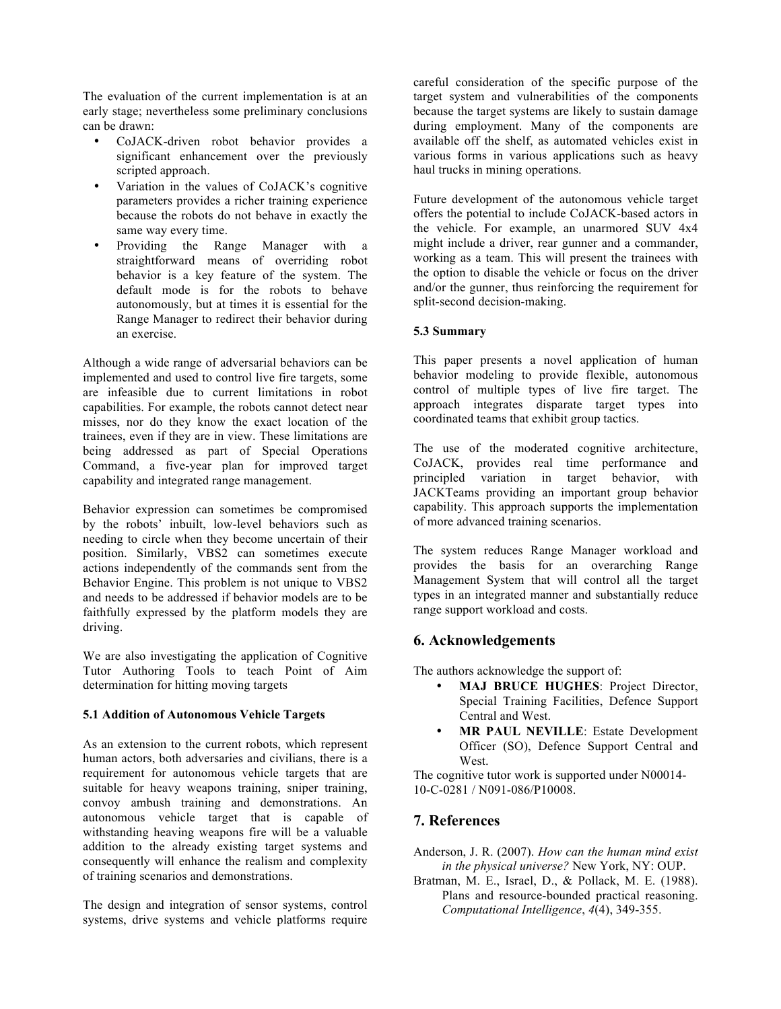The evaluation of the current implementation is at an early stage; nevertheless some preliminary conclusions can be drawn:

- CoJACK-driven robot behavior provides a significant enhancement over the previously scripted approach.
- Variation in the values of CoJACK's cognitive parameters provides a richer training experience because the robots do not behave in exactly the same way every time.
- Providing the Range Manager with a straightforward means of overriding robot behavior is a key feature of the system. The default mode is for the robots to behave autonomously, but at times it is essential for the Range Manager to redirect their behavior during an exercise.

Although a wide range of adversarial behaviors can be implemented and used to control live fire targets, some are infeasible due to current limitations in robot capabilities. For example, the robots cannot detect near misses, nor do they know the exact location of the trainees, even if they are in view. These limitations are being addressed as part of Special Operations Command, a five-year plan for improved target capability and integrated range management.

Behavior expression can sometimes be compromised by the robots' inbuilt, low-level behaviors such as needing to circle when they become uncertain of their position. Similarly, VBS2 can sometimes execute actions independently of the commands sent from the Behavior Engine. This problem is not unique to VBS2 and needs to be addressed if behavior models are to be faithfully expressed by the platform models they are driving.

We are also investigating the application of Cognitive Tutor Authoring Tools to teach Point of Aim determination for hitting moving targets

#### **5.1 Addition of Autonomous Vehicle Targets**

As an extension to the current robots, which represent human actors, both adversaries and civilians, there is a requirement for autonomous vehicle targets that are suitable for heavy weapons training, sniper training, convoy ambush training and demonstrations. An autonomous vehicle target that is capable of withstanding heaving weapons fire will be a valuable addition to the already existing target systems and consequently will enhance the realism and complexity of training scenarios and demonstrations.

The design and integration of sensor systems, control systems, drive systems and vehicle platforms require careful consideration of the specific purpose of the target system and vulnerabilities of the components because the target systems are likely to sustain damage during employment. Many of the components are available off the shelf, as automated vehicles exist in various forms in various applications such as heavy haul trucks in mining operations.

Future development of the autonomous vehicle target offers the potential to include CoJACK-based actors in the vehicle. For example, an unarmored SUV 4x4 might include a driver, rear gunner and a commander, working as a team. This will present the trainees with the option to disable the vehicle or focus on the driver and/or the gunner, thus reinforcing the requirement for split-second decision-making.

#### **5.3 Summary**

This paper presents a novel application of human behavior modeling to provide flexible, autonomous control of multiple types of live fire target. The approach integrates disparate target types into coordinated teams that exhibit group tactics.

The use of the moderated cognitive architecture, CoJACK, provides real time performance and principled variation in target behavior, with JACKTeams providing an important group behavior capability. This approach supports the implementation of more advanced training scenarios.

The system reduces Range Manager workload and provides the basis for an overarching Range Management System that will control all the target types in an integrated manner and substantially reduce range support workload and costs.

# **6. Acknowledgements**

The authors acknowledge the support of:

- **MAJ BRUCE HUGHES**: Project Director, Special Training Facilities, Defence Support Central and West.
- **MR PAUL NEVILLE**: Estate Development Officer (SO), Defence Support Central and West.

The cognitive tutor work is supported under N00014- 10-C-0281 / N091-086/P10008.

## **7. References**

Anderson, J. R. (2007). *How can the human mind exist in the physical universe?* New York, NY: OUP.

Bratman, M. E., Israel, D., & Pollack, M. E. (1988). Plans and resource-bounded practical reasoning. *Computational Intelligence*, *4*(4), 349-355.